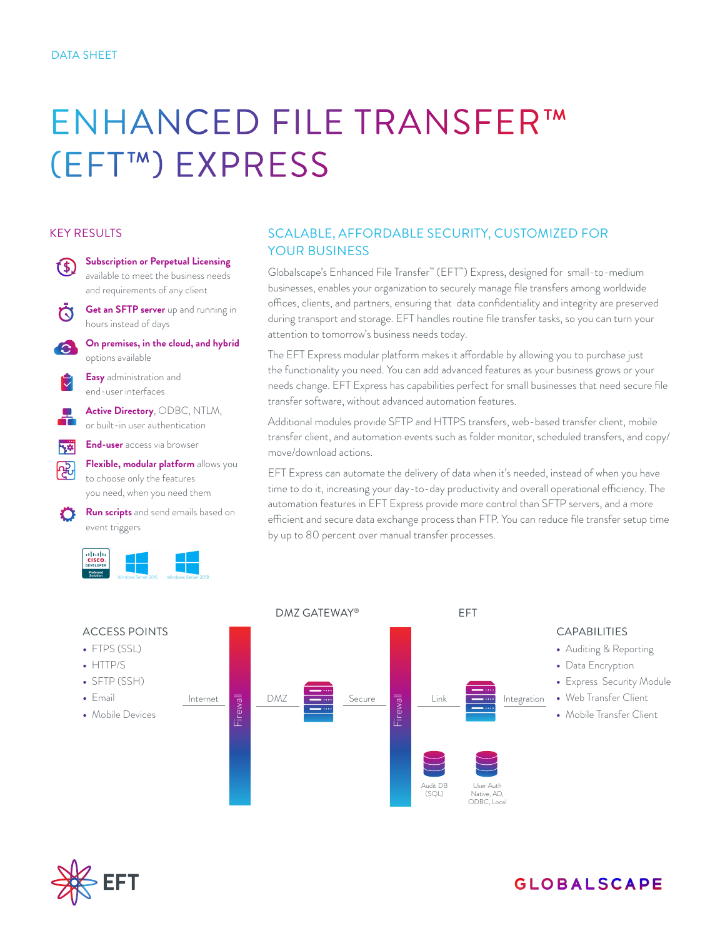# ENHANCED FILE TRANSFER™ (EFT™) EXPRESS

#### KEY RESULTS



## SCALABLE, AFFORDABLE SECURITY, CUSTOMIZED FOR YOUR BUSINESS

Globalscape's Enhanced File Transfer™ (EFT™) Express, designed for small-to-medium businesses, enables your organization to securely manage file transfers among worldwide offices, clients, and partners, ensuring that data confidentiality and integrity are preserved during transport and storage. EFT handles routine file transfer tasks, so you can turn your attention to tomorrow's business needs today.

The EFT Express modular platform makes it affordable by allowing you to purchase just the functionality you need. You can add advanced features as your business grows or your needs change. EFT Express has capabilities perfect for small businesses that need secure file transfer software, without advanced automation features.

Additional modules provide SFTP and HTTPS transfers, web-based transfer client, mobile transfer client, and automation events such as folder monitor, scheduled transfers, and copy/ move/download actions.

EFT Express can automate the delivery of data when it's needed, instead of when you have time to do it, increasing your day-to-day productivity and overall operational efficiency. The automation features in EFT Express provide more control than SFTP servers, and a more efficient and secure data exchange process than FTP. You can reduce file transfer setup time by up to 80 percent over manual transfer processes.





# **GLOBALSCAPE**